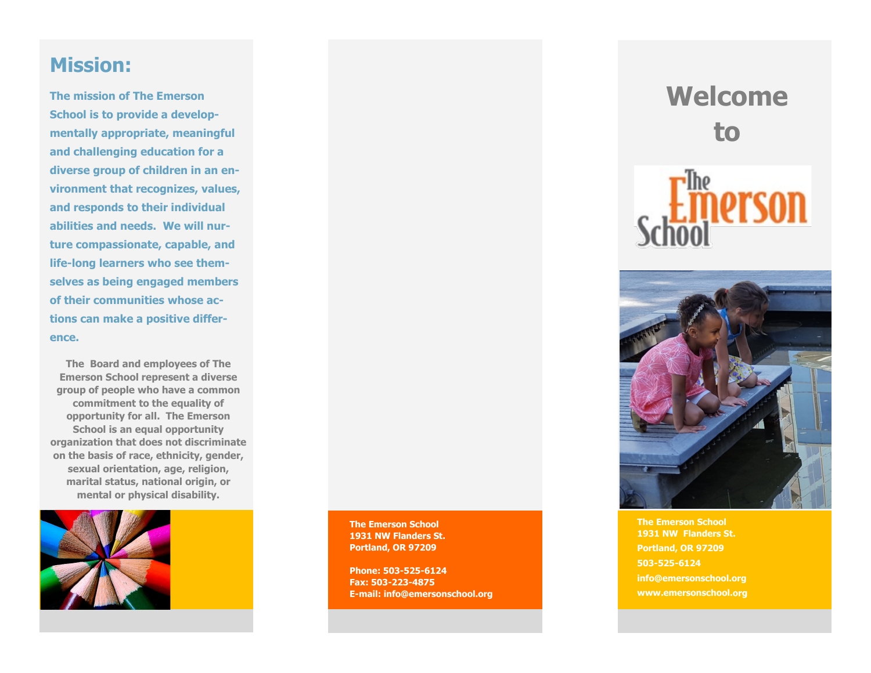## **Mission:**

**The mission of The Emerson School is to provide a developmentally appropriate, meaningful and challenging education for a diverse group of children in an environment that recognizes, values, and responds to their individual abilities and needs. We will nurture compassionate, capable, and life-long learners who see themselves as being engaged members of their communities whose actions can make a positive difference.** 

**The Board and employees of The Emerson School represent a diverse group of people who have a common commitment to the equality of opportunity for all. The Emerson School is an equal opportunity organization that does not discriminate on the basis of race, ethnicity, gender, sexual orientation, age, religion, marital status, national origin, or mental or physical disability.**



**The Emerson School 1931 NW Flanders St. Portland, OR 97209**

**Phone: 503-525-6124 Fax: 503-223-4875 E-mail: info@emersonschool.org**  **to**

**Welcome** 



**The Emerson School 1931 NW Flanders St. Portland, OR 97209 503-525-6124 info@emersonschool.org www.emersonschool.**